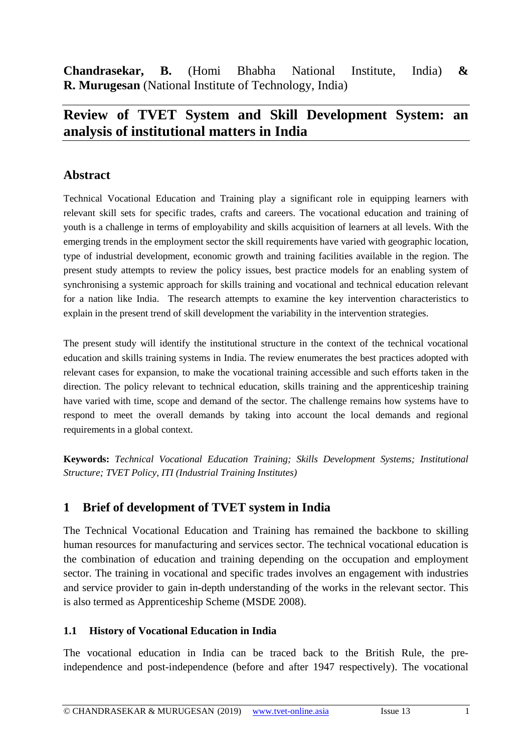**Chandrasekar, B.** (Homi Bhabha National Institute, India) **& R. Murugesan** (National Institute of Technology, India)

# **Review of TVET System and Skill Development System: an analysis of institutional matters in India**

#### **Abstract**

Technical Vocational Education and Training play a significant role in equipping learners with relevant skill sets for specific trades, crafts and careers. The vocational education and training of youth is a challenge in terms of employability and skills acquisition of learners at all levels. With the emerging trends in the employment sector the skill requirements have varied with geographic location, type of industrial development, economic growth and training facilities available in the region. The present study attempts to review the policy issues, best practice models for an enabling system of synchronising a systemic approach for skills training and vocational and technical education relevant for a nation like India. The research attempts to examine the key intervention characteristics to explain in the present trend of skill development the variability in the intervention strategies.

The present study will identify the institutional structure in the context of the technical vocational education and skills training systems in India. The review enumerates the best practices adopted with relevant cases for expansion, to make the vocational training accessible and such efforts taken in the direction. The policy relevant to technical education, skills training and the apprenticeship training have varied with time, scope and demand of the sector. The challenge remains how systems have to respond to meet the overall demands by taking into account the local demands and regional requirements in a global context.

**Keywords:** *Technical Vocational Education Training; Skills Development Systems; Institutional Structure; TVET Policy, ITI (Industrial Training Institutes)*

## **1 Brief of development of TVET system in India**

The Technical Vocational Education and Training has remained the backbone to skilling human resources for manufacturing and services sector. The technical vocational education is the combination of education and training depending on the occupation and employment sector. The training in vocational and specific trades involves an engagement with industries and service provider to gain in-depth understanding of the works in the relevant sector. This is also termed as Apprenticeship Scheme (MSDE 2008).

#### **1.1 History of Vocational Education in India**

The vocational education in India can be traced back to the British Rule, the preindependence and post-independence (before and after 1947 respectively). The vocational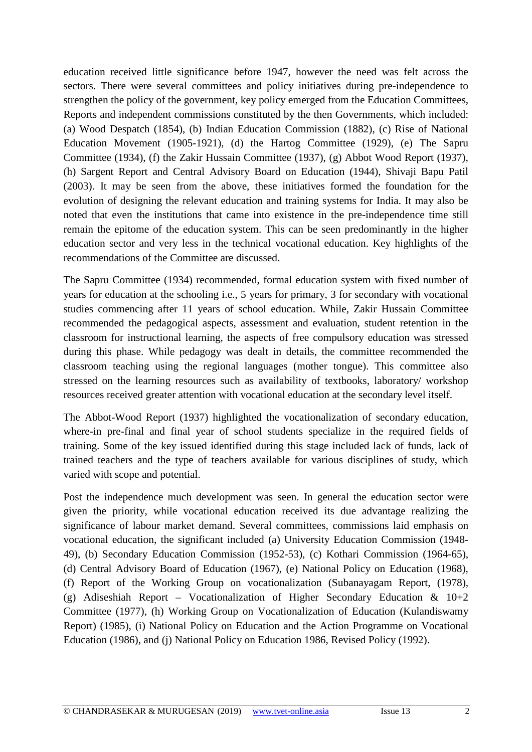education received little significance before 1947, however the need was felt across the sectors. There were several committees and policy initiatives during pre-independence to strengthen the policy of the government, key policy emerged from the Education Committees, Reports and independent commissions constituted by the then Governments, which included: (a) Wood Despatch (1854), (b) Indian Education Commission (1882), (c) Rise of National Education Movement (1905-1921), (d) the Hartog Committee (1929), (e) The Sapru Committee (1934), (f) the Zakir Hussain Committee (1937), (g) Abbot Wood Report (1937), (h) Sargent Report and Central Advisory Board on Education (1944), Shivaji Bapu Patil (2003). It may be seen from the above, these initiatives formed the foundation for the evolution of designing the relevant education and training systems for India. It may also be noted that even the institutions that came into existence in the pre-independence time still remain the epitome of the education system. This can be seen predominantly in the higher education sector and very less in the technical vocational education. Key highlights of the recommendations of the Committee are discussed.

The Sapru Committee (1934) recommended, formal education system with fixed number of years for education at the schooling i.e., 5 years for primary, 3 for secondary with vocational studies commencing after 11 years of school education. While, Zakir Hussain Committee recommended the pedagogical aspects, assessment and evaluation, student retention in the classroom for instructional learning, the aspects of free compulsory education was stressed during this phase. While pedagogy was dealt in details, the committee recommended the classroom teaching using the regional languages (mother tongue). This committee also stressed on the learning resources such as availability of textbooks, laboratory/ workshop resources received greater attention with vocational education at the secondary level itself.

The Abbot-Wood Report (1937) highlighted the vocationalization of secondary education, where-in pre-final and final year of school students specialize in the required fields of training. Some of the key issued identified during this stage included lack of funds, lack of trained teachers and the type of teachers available for various disciplines of study, which varied with scope and potential.

Post the independence much development was seen. In general the education sector were given the priority, while vocational education received its due advantage realizing the significance of labour market demand. Several committees, commissions laid emphasis on vocational education, the significant included (a) University Education Commission (1948- 49), (b) Secondary Education Commission (1952-53), (c) Kothari Commission (1964-65), (d) Central Advisory Board of Education (1967), (e) National Policy on Education (1968), (f) Report of the Working Group on vocationalization (Subanayagam Report, (1978), (g) Adiseshiah Report – Vocationalization of Higher Secondary Education  $\&$  10+2 Committee (1977), (h) Working Group on Vocationalization of Education (Kulandiswamy Report) (1985), (i) National Policy on Education and the Action Programme on Vocational Education (1986), and (j) National Policy on Education 1986, Revised Policy (1992).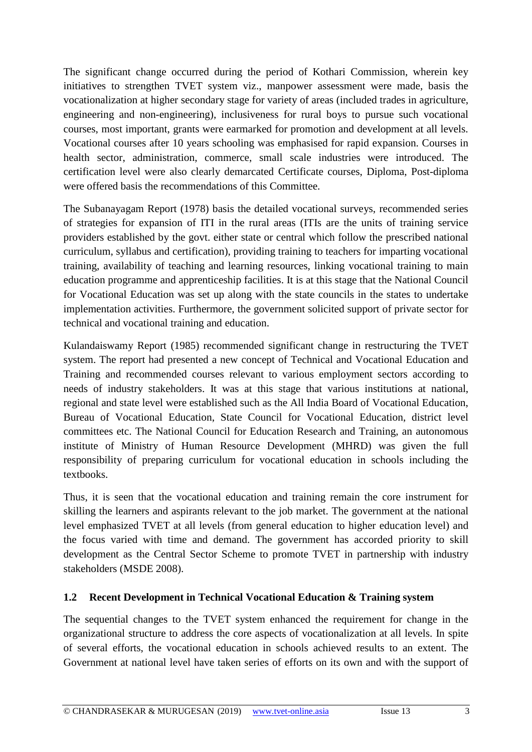The significant change occurred during the period of Kothari Commission, wherein key initiatives to strengthen TVET system viz., manpower assessment were made, basis the vocationalization at higher secondary stage for variety of areas (included trades in agriculture, engineering and non-engineering), inclusiveness for rural boys to pursue such vocational courses, most important, grants were earmarked for promotion and development at all levels. Vocational courses after 10 years schooling was emphasised for rapid expansion. Courses in health sector, administration, commerce, small scale industries were introduced. The certification level were also clearly demarcated Certificate courses, Diploma, Post-diploma were offered basis the recommendations of this Committee.

The Subanayagam Report (1978) basis the detailed vocational surveys, recommended series of strategies for expansion of ITI in the rural areas (ITIs are the units of training service providers established by the govt. either state or central which follow the prescribed national curriculum, syllabus and certification), providing training to teachers for imparting vocational training, availability of teaching and learning resources, linking vocational training to main education programme and apprenticeship facilities. It is at this stage that the National Council for Vocational Education was set up along with the state councils in the states to undertake implementation activities. Furthermore, the government solicited support of private sector for technical and vocational training and education.

Kulandaiswamy Report (1985) recommended significant change in restructuring the TVET system. The report had presented a new concept of Technical and Vocational Education and Training and recommended courses relevant to various employment sectors according to needs of industry stakeholders. It was at this stage that various institutions at national, regional and state level were established such as the All India Board of Vocational Education, Bureau of Vocational Education, State Council for Vocational Education, district level committees etc. The National Council for Education Research and Training, an autonomous institute of Ministry of Human Resource Development (MHRD) was given the full responsibility of preparing curriculum for vocational education in schools including the textbooks.

Thus, it is seen that the vocational education and training remain the core instrument for skilling the learners and aspirants relevant to the job market. The government at the national level emphasized TVET at all levels (from general education to higher education level) and the focus varied with time and demand. The government has accorded priority to skill development as the Central Sector Scheme to promote TVET in partnership with industry stakeholders (MSDE 2008).

#### **1.2 Recent Development in Technical Vocational Education & Training system**

The sequential changes to the TVET system enhanced the requirement for change in the organizational structure to address the core aspects of vocationalization at all levels. In spite of several efforts, the vocational education in schools achieved results to an extent. The Government at national level have taken series of efforts on its own and with the support of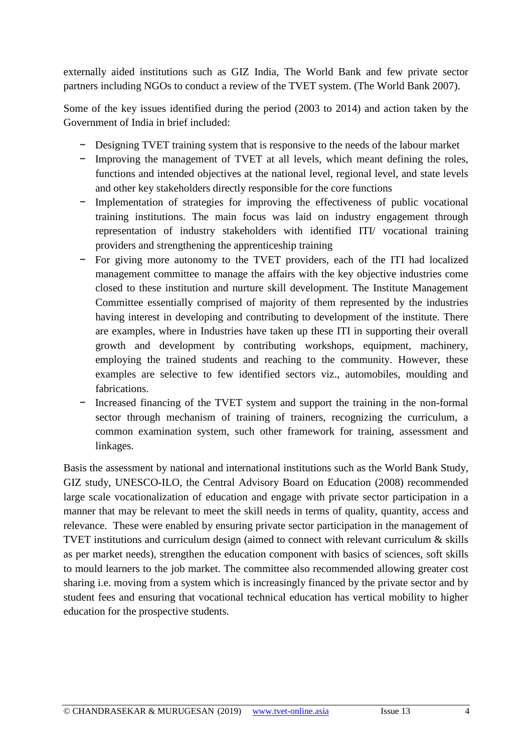externally aided institutions such as GIZ India, The World Bank and few private sector partners including NGOs to conduct a review of the TVET system. (The World Bank 2007).

Some of the key issues identified during the period (2003 to 2014) and action taken by the Government of India in brief included:

- − Designing TVET training system that is responsive to the needs of the labour market
- − Improving the management of TVET at all levels, which meant defining the roles, functions and intended objectives at the national level, regional level, and state levels and other key stakeholders directly responsible for the core functions
- − Implementation of strategies for improving the effectiveness of public vocational training institutions. The main focus was laid on industry engagement through representation of industry stakeholders with identified ITI/ vocational training providers and strengthening the apprenticeship training
- For giving more autonomy to the TVET providers, each of the ITI had localized management committee to manage the affairs with the key objective industries come closed to these institution and nurture skill development. The Institute Management Committee essentially comprised of majority of them represented by the industries having interest in developing and contributing to development of the institute. There are examples, where in Industries have taken up these ITI in supporting their overall growth and development by contributing workshops, equipment, machinery, employing the trained students and reaching to the community. However, these examples are selective to few identified sectors viz., automobiles, moulding and fabrications.
- − Increased financing of the TVET system and support the training in the non-formal sector through mechanism of training of trainers, recognizing the curriculum, a common examination system, such other framework for training, assessment and linkages.

Basis the assessment by national and international institutions such as the World Bank Study, GIZ study, UNESCO-ILO, the Central Advisory Board on Education (2008) recommended large scale vocationalization of education and engage with private sector participation in a manner that may be relevant to meet the skill needs in terms of quality, quantity, access and relevance. These were enabled by ensuring private sector participation in the management of TVET institutions and curriculum design (aimed to connect with relevant curriculum & skills as per market needs), strengthen the education component with basics of sciences, soft skills to mould learners to the job market. The committee also recommended allowing greater cost sharing i.e. moving from a system which is increasingly financed by the private sector and by student fees and ensuring that vocational technical education has vertical mobility to higher education for the prospective students.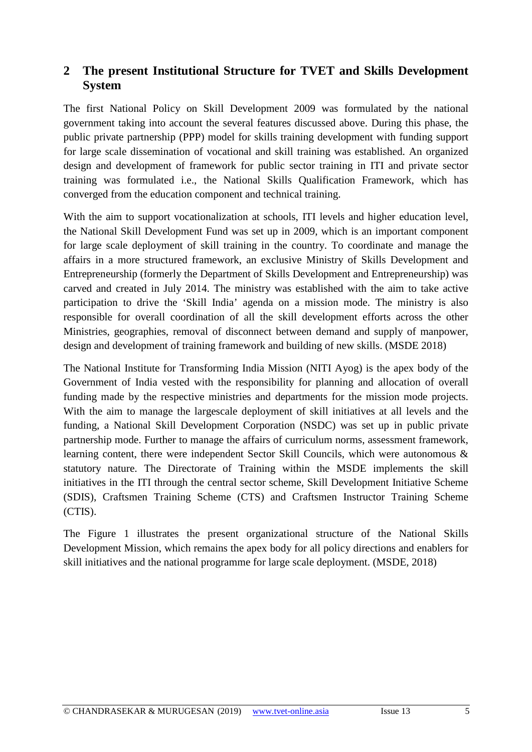#### **2 The present Institutional Structure for TVET and Skills Development System**

The first National Policy on Skill Development 2009 was formulated by the national government taking into account the several features discussed above. During this phase, the public private partnership (PPP) model for skills training development with funding support for large scale dissemination of vocational and skill training was established. An organized design and development of framework for public sector training in ITI and private sector training was formulated i.e., the National Skills Qualification Framework, which has converged from the education component and technical training.

With the aim to support vocationalization at schools, ITI levels and higher education level, the National Skill Development Fund was set up in 2009, which is an important component for large scale deployment of skill training in the country. To coordinate and manage the affairs in a more structured framework, an exclusive Ministry of Skills Development and Entrepreneurship (formerly the Department of Skills Development and Entrepreneurship) was carved and created in July 2014. The ministry was established with the aim to take active participation to drive the 'Skill India' agenda on a mission mode. The ministry is also responsible for overall coordination of all the skill development efforts across the other Ministries, geographies, removal of disconnect between demand and supply of manpower, design and development of training framework and building of new skills. (MSDE 2018)

The National Institute for Transforming India Mission (NITI Ayog) is the apex body of the Government of India vested with the responsibility for planning and allocation of overall funding made by the respective ministries and departments for the mission mode projects. With the aim to manage the largescale deployment of skill initiatives at all levels and the funding, a National Skill Development Corporation (NSDC) was set up in public private partnership mode. Further to manage the affairs of curriculum norms, assessment framework, learning content, there were independent Sector Skill Councils, which were autonomous & statutory nature. The Directorate of Training within the MSDE implements the skill initiatives in the ITI through the central sector scheme, Skill Development Initiative Scheme (SDIS), Craftsmen Training Scheme (CTS) and Craftsmen Instructor Training Scheme (CTIS).

The Figure 1 illustrates the present organizational structure of the National Skills Development Mission, which remains the apex body for all policy directions and enablers for skill initiatives and the national programme for large scale deployment. (MSDE, 2018)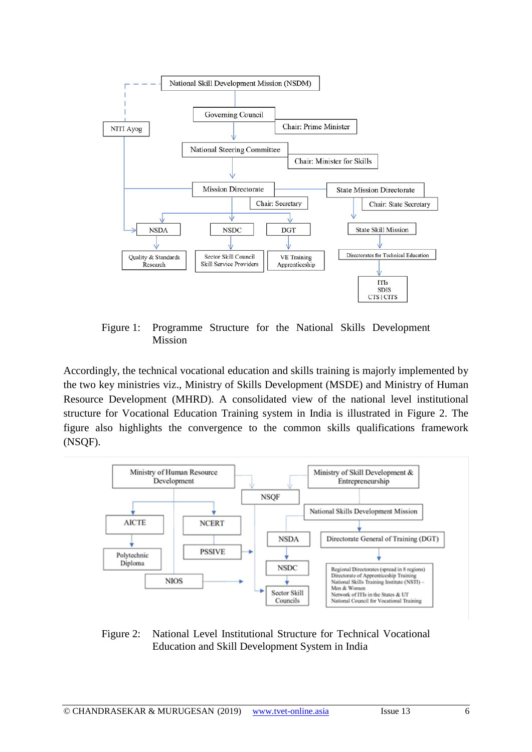

Figure 1: Programme Structure for the National Skills Development Mission

Accordingly, the technical vocational education and skills training is majorly implemented by the two key ministries viz., Ministry of Skills Development (MSDE) and Ministry of Human Resource Development (MHRD). A consolidated view of the national level institutional structure for Vocational Education Training system in India is illustrated in Figure 2. The figure also highlights the convergence to the common skills qualifications framework (NSQF).



Figure 2: National Level Institutional Structure for Technical Vocational Education and Skill Development System in India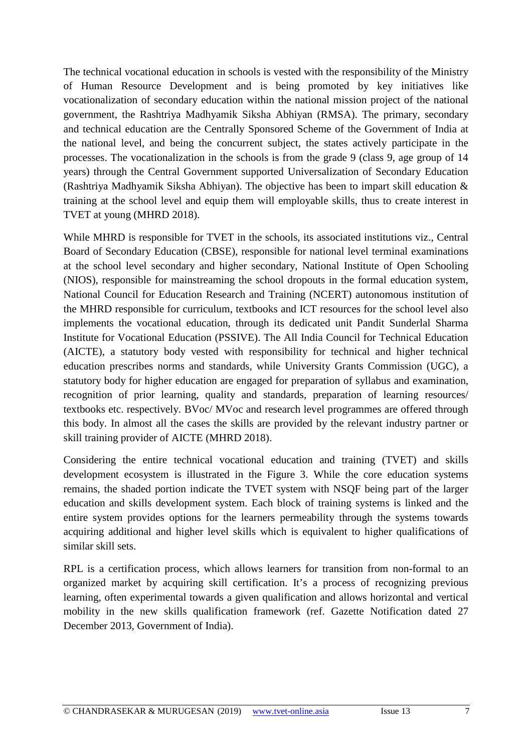The technical vocational education in schools is vested with the responsibility of the Ministry of Human Resource Development and is being promoted by key initiatives like vocationalization of secondary education within the national mission project of the national government, the Rashtriya Madhyamik Siksha Abhiyan (RMSA). The primary, secondary and technical education are the Centrally Sponsored Scheme of the Government of India at the national level, and being the concurrent subject, the states actively participate in the processes. The vocationalization in the schools is from the grade 9 (class 9, age group of 14 years) through the Central Government supported Universalization of Secondary Education (Rashtriya Madhyamik Siksha Abhiyan). The objective has been to impart skill education  $\&$ training at the school level and equip them will employable skills, thus to create interest in TVET at young (MHRD 2018).

While MHRD is responsible for TVET in the schools, its associated institutions viz., Central Board of Secondary Education (CBSE), responsible for national level terminal examinations at the school level secondary and higher secondary, National Institute of Open Schooling (NIOS), responsible for mainstreaming the school dropouts in the formal education system, National Council for Education Research and Training (NCERT) autonomous institution of the MHRD responsible for curriculum, textbooks and ICT resources for the school level also implements the vocational education, through its dedicated unit Pandit Sunderlal Sharma Institute for Vocational Education (PSSIVE). The All India Council for Technical Education (AICTE), a statutory body vested with responsibility for technical and higher technical education prescribes norms and standards, while University Grants Commission (UGC), a statutory body for higher education are engaged for preparation of syllabus and examination, recognition of prior learning, quality and standards, preparation of learning resources/ textbooks etc. respectively. BVoc/ MVoc and research level programmes are offered through this body. In almost all the cases the skills are provided by the relevant industry partner or skill training provider of AICTE (MHRD 2018).

Considering the entire technical vocational education and training (TVET) and skills development ecosystem is illustrated in the Figure 3. While the core education systems remains, the shaded portion indicate the TVET system with NSQF being part of the larger education and skills development system. Each block of training systems is linked and the entire system provides options for the learners permeability through the systems towards acquiring additional and higher level skills which is equivalent to higher qualifications of similar skill sets.

RPL is a certification process, which allows learners for transition from non-formal to an organized market by acquiring skill certification. It's a process of recognizing previous learning, often experimental towards a given qualification and allows horizontal and vertical mobility in the new skills qualification framework (ref. Gazette Notification dated 27 December 2013, Government of India).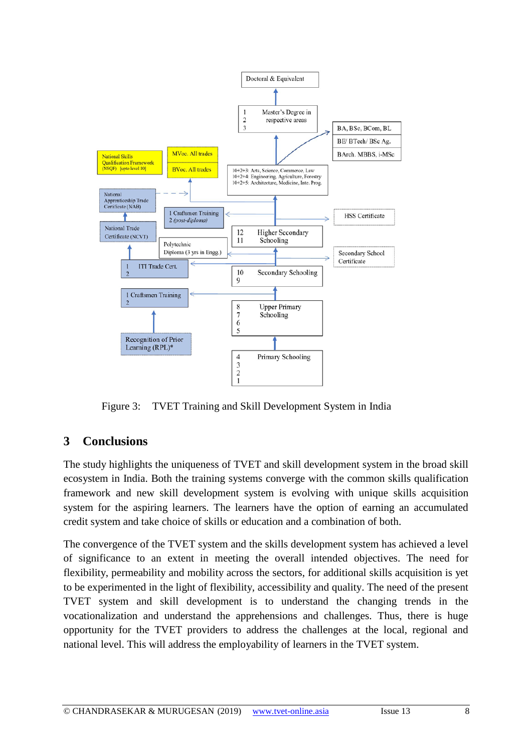

Figure 3: TVET Training and Skill Development System in India

## **3 Conclusions**

The study highlights the uniqueness of TVET and skill development system in the broad skill ecosystem in India. Both the training systems converge with the common skills qualification framework and new skill development system is evolving with unique skills acquisition system for the aspiring learners. The learners have the option of earning an accumulated credit system and take choice of skills or education and a combination of both.

The convergence of the TVET system and the skills development system has achieved a level of significance to an extent in meeting the overall intended objectives. The need for flexibility, permeability and mobility across the sectors, for additional skills acquisition is yet to be experimented in the light of flexibility, accessibility and quality. The need of the present TVET system and skill development is to understand the changing trends in the vocationalization and understand the apprehensions and challenges. Thus, there is huge opportunity for the TVET providers to address the challenges at the local, regional and national level. This will address the employability of learners in the TVET system.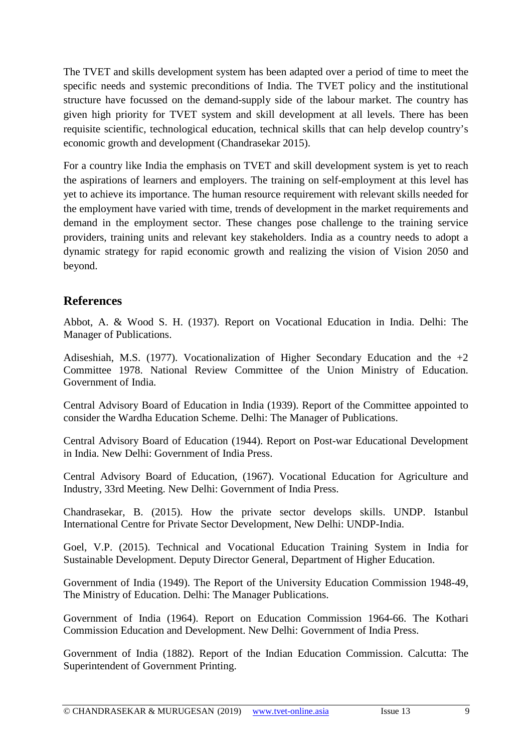The TVET and skills development system has been adapted over a period of time to meet the specific needs and systemic preconditions of India. The TVET policy and the institutional structure have focussed on the demand-supply side of the labour market. The country has given high priority for TVET system and skill development at all levels. There has been requisite scientific, technological education, technical skills that can help develop country's economic growth and development (Chandrasekar 2015).

For a country like India the emphasis on TVET and skill development system is yet to reach the aspirations of learners and employers. The training on self-employment at this level has yet to achieve its importance. The human resource requirement with relevant skills needed for the employment have varied with time, trends of development in the market requirements and demand in the employment sector. These changes pose challenge to the training service providers, training units and relevant key stakeholders. India as a country needs to adopt a dynamic strategy for rapid economic growth and realizing the vision of Vision 2050 and beyond.

#### **References**

Abbot, A. & Wood S. H. (1937). Report on Vocational Education in India. Delhi: The Manager of Publications.

Adiseshiah, M.S. (1977). Vocationalization of Higher Secondary Education and the  $+2$ Committee 1978. National Review Committee of the Union Ministry of Education. Government of India.

Central Advisory Board of Education in India (1939). Report of the Committee appointed to consider the Wardha Education Scheme. Delhi: The Manager of Publications.

Central Advisory Board of Education (1944). Report on Post-war Educational Development in India. New Delhi: Government of India Press.

Central Advisory Board of Education, (1967). Vocational Education for Agriculture and Industry, 33rd Meeting. New Delhi: Government of India Press.

Chandrasekar, B. (2015). How the private sector develops skills. UNDP. Istanbul International Centre for Private Sector Development, New Delhi: UNDP-India.

Goel, V.P. (2015). Technical and Vocational Education Training System in India for Sustainable Development. Deputy Director General, Department of Higher Education.

Government of India (1949). The Report of the University Education Commission 1948-49, The Ministry of Education. Delhi: The Manager Publications.

Government of India (1964). Report on Education Commission 1964-66. The Kothari Commission Education and Development. New Delhi: Government of India Press.

Government of India (1882). Report of the Indian Education Commission. Calcutta: The Superintendent of Government Printing.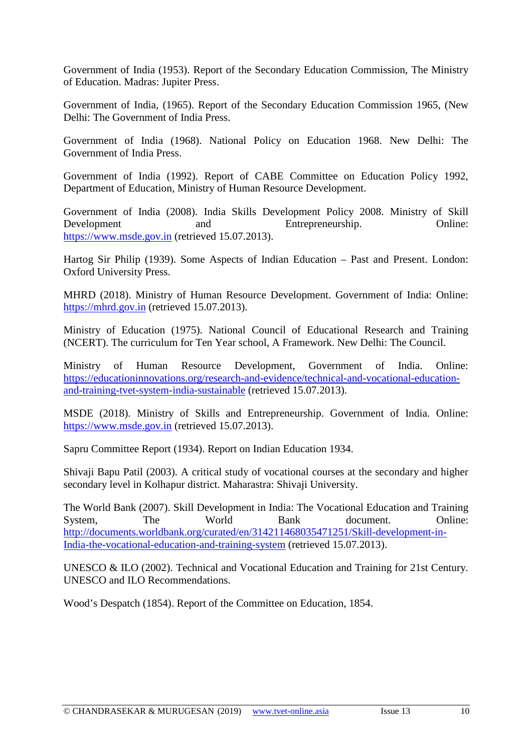Government of India (1953). Report of the Secondary Education Commission, The Ministry of Education. Madras: Jupiter Press.

Government of India, (1965). Report of the Secondary Education Commission 1965, (New Delhi: The Government of India Press.

Government of India (1968). National Policy on Education 1968. New Delhi: The Government of India Press.

Government of India (1992). Report of CABE Committee on Education Policy 1992, Department of Education, Ministry of Human Resource Development.

Government of India (2008). India Skills Development Policy 2008. Ministry of Skill Development and Entrepreneurship. Online: [https://www.msde.gov.in](https://www.msde.gov.in/) (retrieved 15.07.2013).

Hartog Sir Philip (1939). Some Aspects of Indian Education – Past and Present. London: Oxford University Press.

MHRD (2018). Ministry of Human Resource Development. Government of India: Online: [https://mhrd.gov.in](https://mhrd.gov.in/) (retrieved 15.07.2013).

Ministry of Education (1975). National Council of Educational Research and Training (NCERT). The curriculum for Ten Year school, A Framework. New Delhi: The Council.

Ministry of Human Resource Development, Government of India. Online: [https://educationinnovations.org/research-and-evidence/technical-and-vocational-education](https://educationinnovations.org/research-and-evidence/technical-and-vocational-education-and-training-tvet-system-india-sustainable)[and-training-tvet-system-india-sustainable](https://educationinnovations.org/research-and-evidence/technical-and-vocational-education-and-training-tvet-system-india-sustainable) (retrieved 15.07.2013).

MSDE (2018). Ministry of Skills and Entrepreneurship. Government of India. Online: [https://www.msde.gov.in](https://www.msde.gov.in/) (retrieved 15.07.2013).

Sapru Committee Report (1934). Report on Indian Education 1934.

Shivaji Bapu Patil (2003). A critical study of vocational courses at the secondary and higher secondary level in Kolhapur district. Maharastra: Shivaji University.

The World Bank (2007). Skill Development in India: The Vocational Education and Training System, The World Bank document. Online: [http://documents.worldbank.org/curated/en/314211468035471251/Skill-development-in-](http://documents.worldbank.org/curated/en/314211468035471251/Skill-development-in-India-the-vocational-education-and-training-system)[India-the-vocational-education-and-training-system](http://documents.worldbank.org/curated/en/314211468035471251/Skill-development-in-India-the-vocational-education-and-training-system) (retrieved 15.07.2013).

UNESCO & ILO (2002). Technical and Vocational Education and Training for 21st Century. UNESCO and ILO Recommendations.

Wood's Despatch (1854). Report of the Committee on Education, 1854.